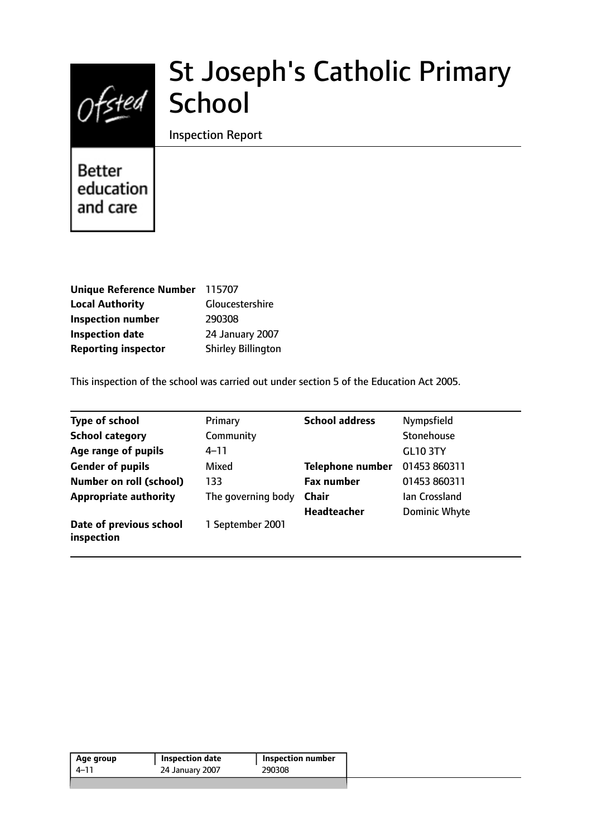

# St Joseph's Catholic Primary School

Inspection Report

**Better** education and care

| Unique Reference Number 115707 |                           |
|--------------------------------|---------------------------|
| <b>Local Authority</b>         | Gloucestershire           |
| <b>Inspection number</b>       | 290308                    |
| <b>Inspection date</b>         | 24 January 2007           |
| <b>Reporting inspector</b>     | <b>Shirley Billington</b> |

This inspection of the school was carried out under section 5 of the Education Act 2005.

| <b>Type of school</b>                 | Primary            | <b>School address</b>   | Nympsfield           |
|---------------------------------------|--------------------|-------------------------|----------------------|
| <b>School category</b>                | Community          |                         | Stonehouse           |
| Age range of pupils                   | 4–11               |                         | <b>GL10 3TY</b>      |
| <b>Gender of pupils</b>               | Mixed              | <b>Telephone number</b> | 01453 860311         |
| <b>Number on roll (school)</b>        | 133                | <b>Fax number</b>       | 01453 860311         |
| <b>Appropriate authority</b>          | The governing body | <b>Chair</b>            | lan Crossland        |
|                                       |                    | <b>Headteacher</b>      | <b>Dominic Whyte</b> |
| Date of previous school<br>inspection | 1 September 2001   |                         |                      |

| 4–11 | 24 January 2007 | 290308 |
|------|-----------------|--------|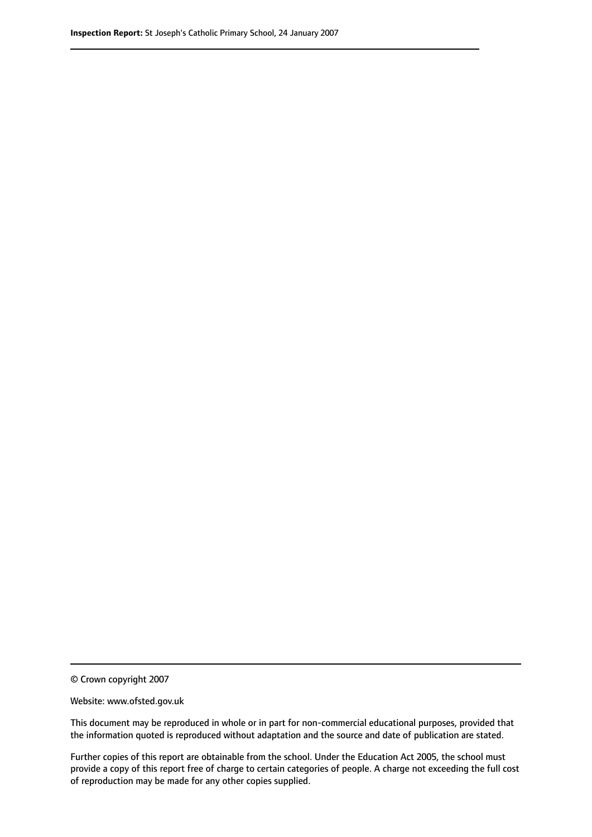© Crown copyright 2007

Website: www.ofsted.gov.uk

This document may be reproduced in whole or in part for non-commercial educational purposes, provided that the information quoted is reproduced without adaptation and the source and date of publication are stated.

Further copies of this report are obtainable from the school. Under the Education Act 2005, the school must provide a copy of this report free of charge to certain categories of people. A charge not exceeding the full cost of reproduction may be made for any other copies supplied.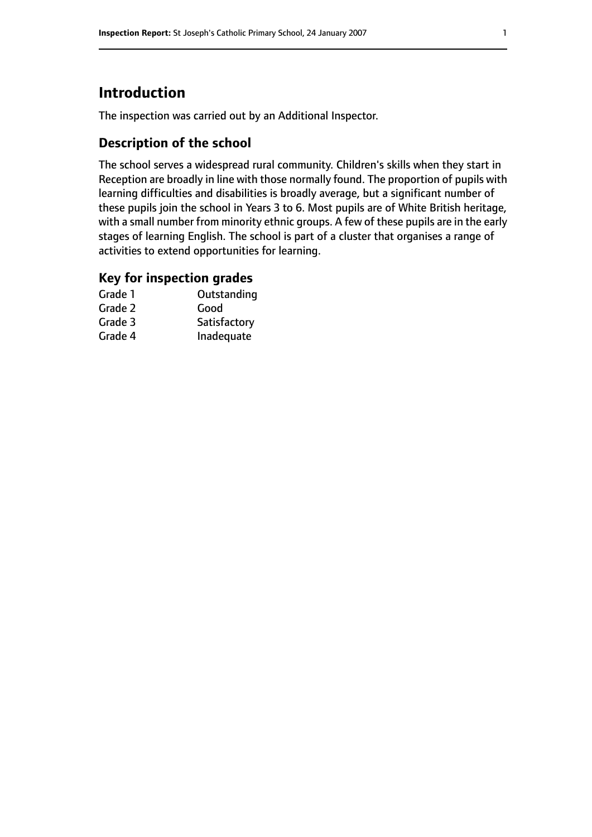# **Introduction**

The inspection was carried out by an Additional Inspector.

# **Description of the school**

The school serves a widespread rural community. Children's skills when they start in Reception are broadly in line with those normally found. The proportion of pupils with learning difficulties and disabilities is broadly average, but a significant number of these pupils join the school in Years 3 to 6. Most pupils are of White British heritage, with a small number from minority ethnic groups. A few of these pupils are in the early stages of learning English. The school is part of a cluster that organises a range of activities to extend opportunities for learning.

## **Key for inspection grades**

| Grade 1 | Outstanding  |
|---------|--------------|
| Grade 2 | Good         |
| Grade 3 | Satisfactory |
| Grade 4 | Inadequate   |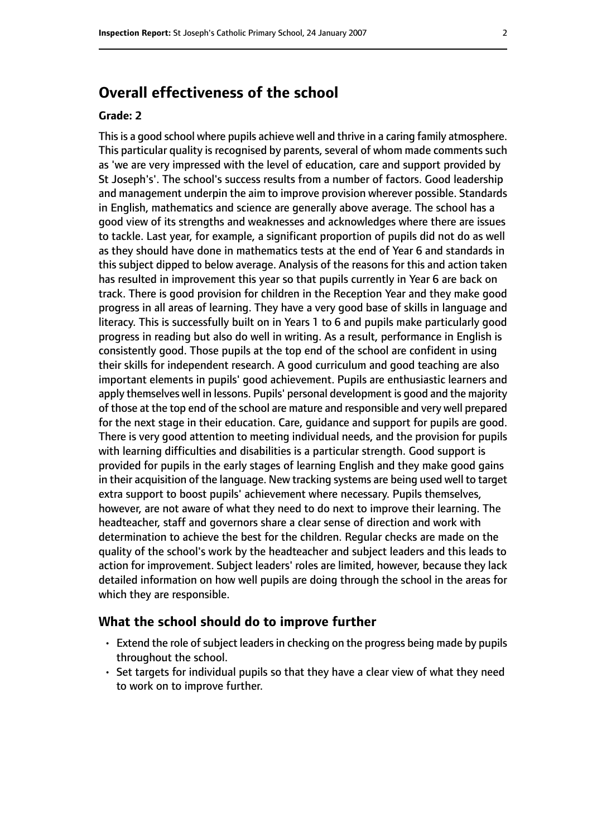# **Overall effectiveness of the school**

#### **Grade: 2**

This is a good school where pupils achieve well and thrive in a caring family atmosphere. This particular quality is recognised by parents, several of whom made comments such as 'we are very impressed with the level of education, care and support provided by St Joseph's'. The school's success results from a number of factors. Good leadership and management underpin the aim to improve provision wherever possible. Standards in English, mathematics and science are generally above average. The school has a good view of its strengths and weaknesses and acknowledges where there are issues to tackle. Last year, for example, a significant proportion of pupils did not do as well as they should have done in mathematics tests at the end of Year 6 and standards in this subject dipped to below average. Analysis of the reasons for this and action taken has resulted in improvement this year so that pupils currently in Year 6 are back on track. There is good provision for children in the Reception Year and they make good progress in all areas of learning. They have a very good base of skills in language and literacy. This is successfully built on in Years 1 to 6 and pupils make particularly good progress in reading but also do well in writing. As a result, performance in English is consistently good. Those pupils at the top end of the school are confident in using their skills for independent research. A good curriculum and good teaching are also important elements in pupils' good achievement. Pupils are enthusiastic learners and apply themselves well in lessons. Pupils' personal development is good and the majority of those at the top end of the school are mature and responsible and very well prepared for the next stage in their education. Care, guidance and support for pupils are good. There is very good attention to meeting individual needs, and the provision for pupils with learning difficulties and disabilities is a particular strength. Good support is provided for pupils in the early stages of learning English and they make good gains in their acquisition of the language. New tracking systems are being used well to target extra support to boost pupils' achievement where necessary. Pupils themselves, however, are not aware of what they need to do next to improve their learning. The headteacher, staff and governors share a clear sense of direction and work with determination to achieve the best for the children. Regular checks are made on the quality of the school's work by the headteacher and subject leaders and this leads to action for improvement. Subject leaders' roles are limited, however, because they lack detailed information on how well pupils are doing through the school in the areas for which they are responsible.

#### **What the school should do to improve further**

- $\cdot$  Extend the role of subject leaders in checking on the progress being made by pupils throughout the school.
- Set targets for individual pupils so that they have a clear view of what they need to work on to improve further.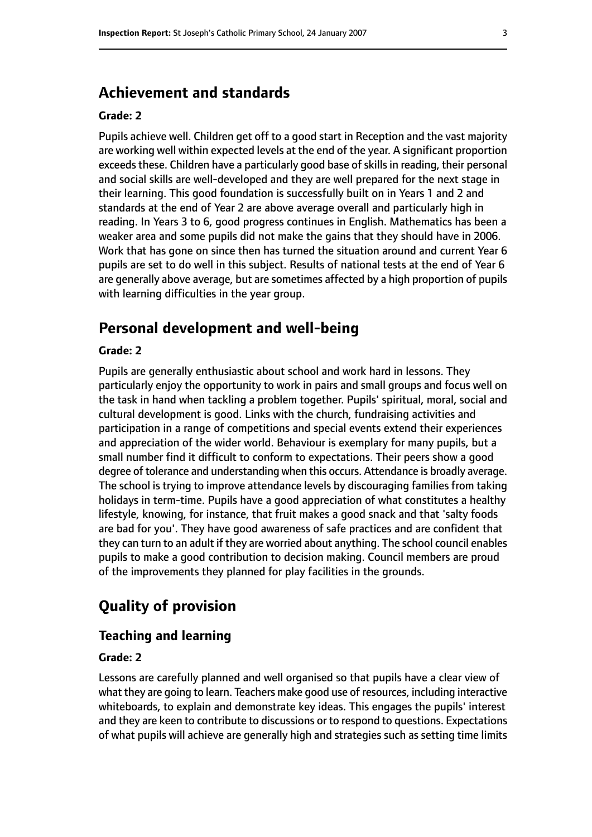# **Achievement and standards**

#### **Grade: 2**

Pupils achieve well. Children get off to a good start in Reception and the vast majority are working well within expected levels at the end of the year. A significant proportion exceeds these. Children have a particularly good base of skills in reading, their personal and social skills are well-developed and they are well prepared for the next stage in their learning. This good foundation is successfully built on in Years 1 and 2 and standards at the end of Year 2 are above average overall and particularly high in reading. In Years 3 to 6, good progress continues in English. Mathematics has been a weaker area and some pupils did not make the gains that they should have in 2006. Work that has gone on since then has turned the situation around and current Year 6 pupils are set to do well in this subject. Results of national tests at the end of Year 6 are generally above average, but are sometimes affected by a high proportion of pupils with learning difficulties in the year group.

## **Personal development and well-being**

#### **Grade: 2**

Pupils are generally enthusiastic about school and work hard in lessons. They particularly enjoy the opportunity to work in pairs and small groups and focus well on the task in hand when tackling a problem together. Pupils' spiritual, moral, social and cultural development is good. Links with the church, fundraising activities and participation in a range of competitions and special events extend their experiences and appreciation of the wider world. Behaviour is exemplary for many pupils, but a small number find it difficult to conform to expectations. Their peers show a good degree of tolerance and understanding when this occurs. Attendance is broadly average. The school is trying to improve attendance levels by discouraging families from taking holidays in term-time. Pupils have a good appreciation of what constitutes a healthy lifestyle, knowing, for instance, that fruit makes a good snack and that 'salty foods are bad for you'. They have good awareness of safe practices and are confident that they can turn to an adult if they are worried about anything. The school council enables pupils to make a good contribution to decision making. Council members are proud of the improvements they planned for play facilities in the grounds.

# **Quality of provision**

#### **Teaching and learning**

#### **Grade: 2**

Lessons are carefully planned and well organised so that pupils have a clear view of what they are going to learn. Teachers make good use of resources, including interactive whiteboards, to explain and demonstrate key ideas. This engages the pupils' interest and they are keen to contribute to discussions or to respond to questions. Expectations of what pupils will achieve are generally high and strategies such as setting time limits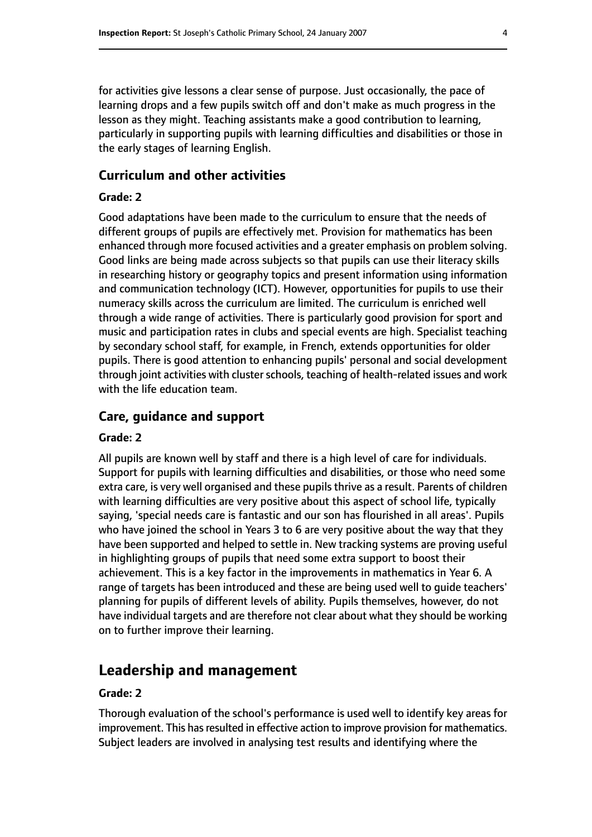for activities give lessons a clear sense of purpose. Just occasionally, the pace of learning drops and a few pupils switch off and don't make as much progress in the lesson as they might. Teaching assistants make a good contribution to learning, particularly in supporting pupils with learning difficulties and disabilities or those in the early stages of learning English.

#### **Curriculum and other activities**

#### **Grade: 2**

Good adaptations have been made to the curriculum to ensure that the needs of different groups of pupils are effectively met. Provision for mathematics has been enhanced through more focused activities and a greater emphasis on problem solving. Good links are being made across subjects so that pupils can use their literacy skills in researching history or geography topics and present information using information and communication technology (ICT). However, opportunities for pupils to use their numeracy skills across the curriculum are limited. The curriculum is enriched well through a wide range of activities. There is particularly good provision for sport and music and participation rates in clubs and special events are high. Specialist teaching by secondary school staff, for example, in French, extends opportunities for older pupils. There is good attention to enhancing pupils' personal and social development through joint activities with cluster schools, teaching of health-related issues and work with the life education team.

#### **Care, guidance and support**

#### **Grade: 2**

All pupils are known well by staff and there is a high level of care for individuals. Support for pupils with learning difficulties and disabilities, or those who need some extra care, is very well organised and these pupils thrive as a result. Parents of children with learning difficulties are very positive about this aspect of school life, typically saying, 'special needs care is fantastic and our son has flourished in all areas'. Pupils who have joined the school in Years 3 to 6 are very positive about the way that they have been supported and helped to settle in. New tracking systems are proving useful in highlighting groups of pupils that need some extra support to boost their achievement. This is a key factor in the improvements in mathematics in Year 6. A range of targets has been introduced and these are being used well to guide teachers' planning for pupils of different levels of ability. Pupils themselves, however, do not have individual targets and are therefore not clear about what they should be working on to further improve their learning.

## **Leadership and management**

### **Grade: 2**

Thorough evaluation of the school's performance is used well to identify key areas for improvement. This has resulted in effective action to improve provision for mathematics. Subject leaders are involved in analysing test results and identifying where the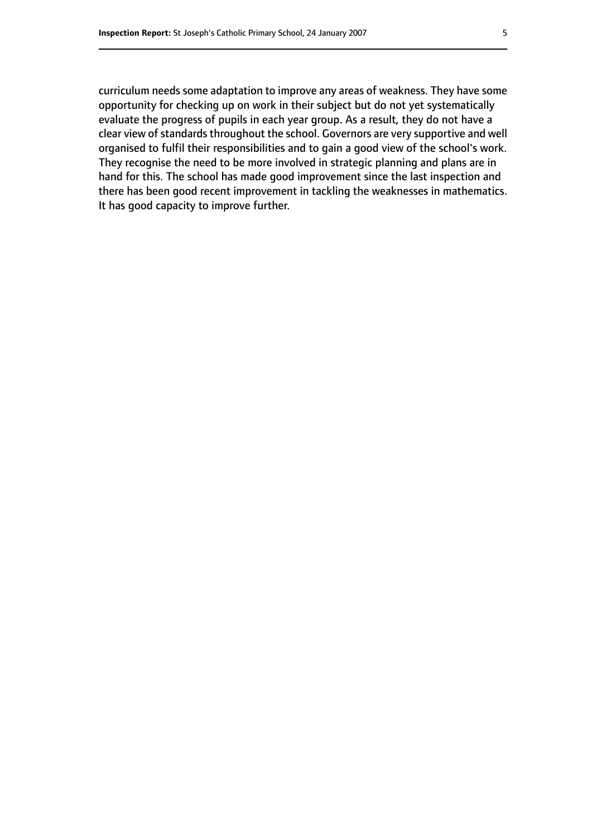curriculum needs some adaptation to improve any areas of weakness. They have some opportunity for checking up on work in their subject but do not yet systematically evaluate the progress of pupils in each year group. As a result, they do not have a clear view of standards throughout the school. Governors are very supportive and well organised to fulfil their responsibilities and to gain a good view of the school's work. They recognise the need to be more involved in strategic planning and plans are in hand for this. The school has made good improvement since the last inspection and there has been good recent improvement in tackling the weaknesses in mathematics. It has good capacity to improve further.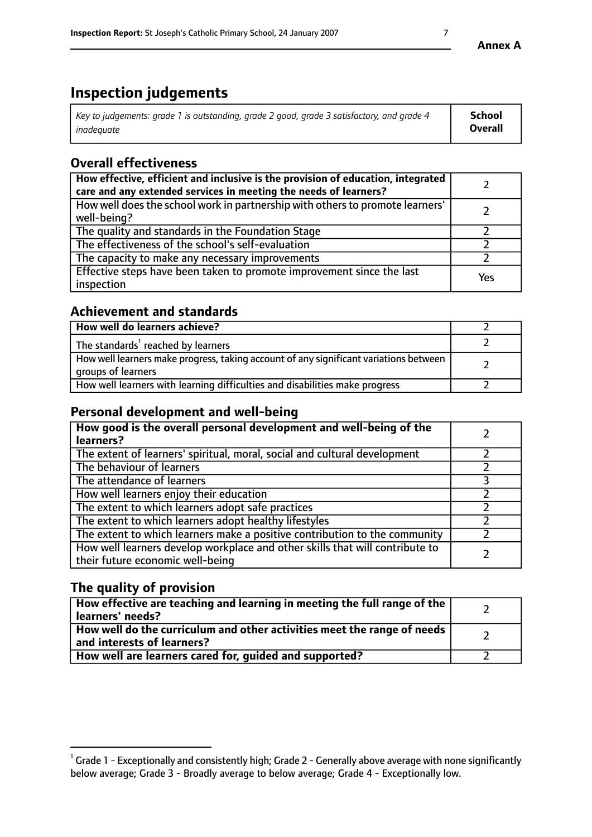# **Inspection judgements**

| Key to judgements: grade 1 is outstanding, grade 2 good, grade 3 satisfactory, and grade 4 | <b>School</b>  |
|--------------------------------------------------------------------------------------------|----------------|
| inadeauate                                                                                 | <b>Overall</b> |

# **Overall effectiveness**

| How effective, efficient and inclusive is the provision of education, integrated<br>care and any extended services in meeting the needs of learners? |     |
|------------------------------------------------------------------------------------------------------------------------------------------------------|-----|
| How well does the school work in partnership with others to promote learners'<br>well-being?                                                         |     |
| The quality and standards in the Foundation Stage                                                                                                    |     |
| The effectiveness of the school's self-evaluation                                                                                                    |     |
| The capacity to make any necessary improvements                                                                                                      |     |
| Effective steps have been taken to promote improvement since the last<br>inspection                                                                  | Yes |

## **Achievement and standards**

| How well do learners achieve?                                                                               |  |
|-------------------------------------------------------------------------------------------------------------|--|
| The standards <sup>1</sup> reached by learners                                                              |  |
| How well learners make progress, taking account of any significant variations between<br>groups of learners |  |
| How well learners with learning difficulties and disabilities make progress                                 |  |

# **Personal development and well-being**

| How good is the overall personal development and well-being of the<br>learners?                                  |  |
|------------------------------------------------------------------------------------------------------------------|--|
| The extent of learners' spiritual, moral, social and cultural development                                        |  |
| The behaviour of learners                                                                                        |  |
| The attendance of learners                                                                                       |  |
| How well learners enjoy their education                                                                          |  |
| The extent to which learners adopt safe practices                                                                |  |
| The extent to which learners adopt healthy lifestyles                                                            |  |
| The extent to which learners make a positive contribution to the community                                       |  |
| How well learners develop workplace and other skills that will contribute to<br>their future economic well-being |  |

# **The quality of provision**

| How effective are teaching and learning in meeting the full range of the<br>  learners' needs?                      |  |
|---------------------------------------------------------------------------------------------------------------------|--|
| $\mid$ How well do the curriculum and other activities meet the range of needs<br>$\mid$ and interests of learners? |  |
| How well are learners cared for, guided and supported?                                                              |  |

 $^1$  Grade 1 - Exceptionally and consistently high; Grade 2 - Generally above average with none significantly below average; Grade 3 - Broadly average to below average; Grade 4 - Exceptionally low.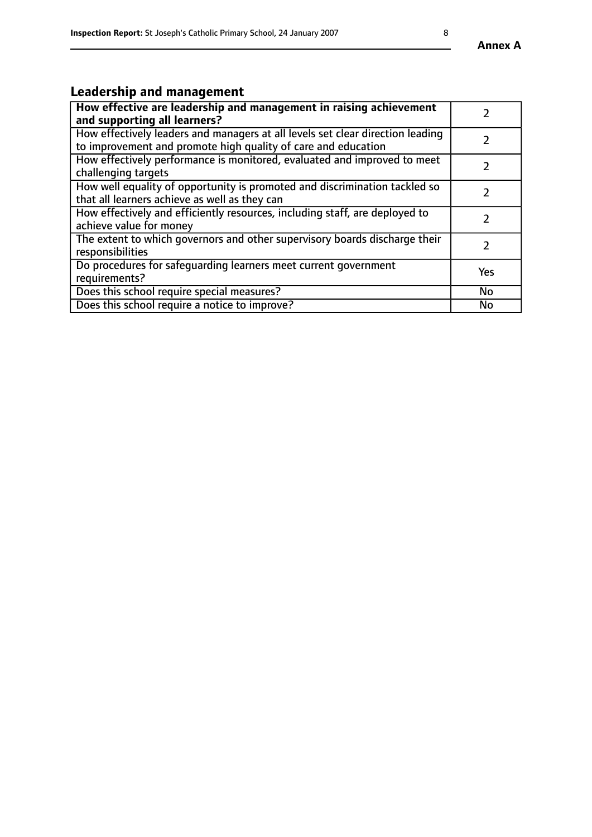# **Leadership and management**

| How effective are leadership and management in raising achievement<br>and supporting all learners?                                              |     |
|-------------------------------------------------------------------------------------------------------------------------------------------------|-----|
| How effectively leaders and managers at all levels set clear direction leading<br>to improvement and promote high quality of care and education |     |
| How effectively performance is monitored, evaluated and improved to meet<br>challenging targets                                                 |     |
| How well equality of opportunity is promoted and discrimination tackled so<br>that all learners achieve as well as they can                     |     |
| How effectively and efficiently resources, including staff, are deployed to<br>achieve value for money                                          | 7   |
| The extent to which governors and other supervisory boards discharge their<br>responsibilities                                                  |     |
| Do procedures for safequarding learners meet current government<br>requirements?                                                                | Yes |
| Does this school require special measures?                                                                                                      | No  |
| Does this school require a notice to improve?                                                                                                   | No  |